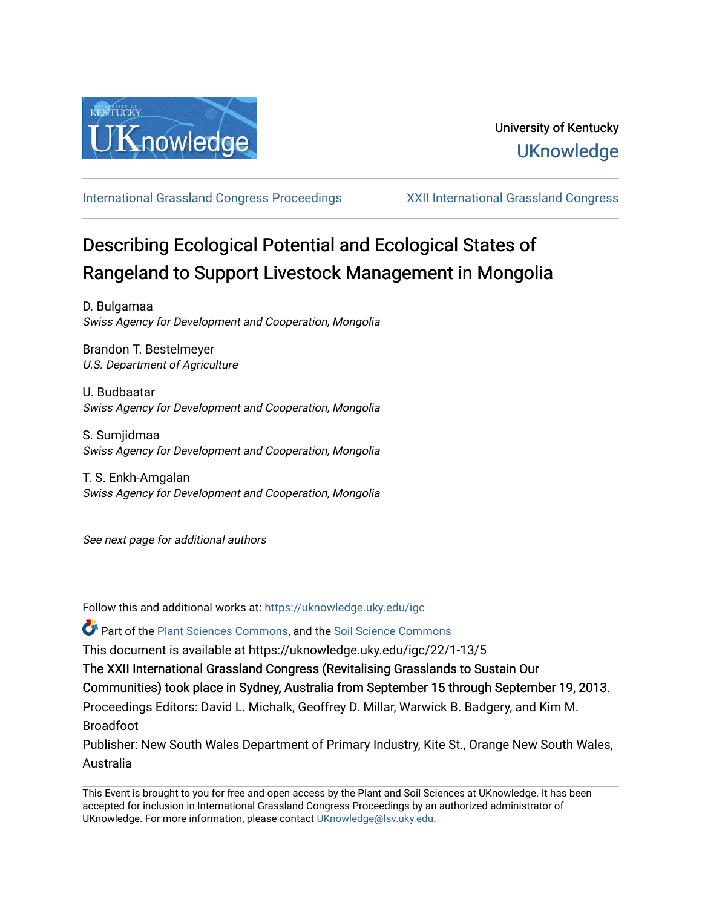

[International Grassland Congress Proceedings](https://uknowledge.uky.edu/igc) [XXII International Grassland Congress](https://uknowledge.uky.edu/igc/22) 

# Describing Ecological Potential and Ecological States of Rangeland to Support Livestock Management in Mongolia

D. Bulgamaa Swiss Agency for Development and Cooperation, Mongolia

Brandon T. Bestelmeyer U.S. Department of Agriculture

U. Budbaatar Swiss Agency for Development and Cooperation, Mongolia

S. Sumjidmaa Swiss Agency for Development and Cooperation, Mongolia

T. S. Enkh-Amgalan Swiss Agency for Development and Cooperation, Mongolia

See next page for additional authors

Follow this and additional works at: [https://uknowledge.uky.edu/igc](https://uknowledge.uky.edu/igc?utm_source=uknowledge.uky.edu%2Figc%2F22%2F1-13%2F5&utm_medium=PDF&utm_campaign=PDFCoverPages) 

Part of the [Plant Sciences Commons](http://network.bepress.com/hgg/discipline/102?utm_source=uknowledge.uky.edu%2Figc%2F22%2F1-13%2F5&utm_medium=PDF&utm_campaign=PDFCoverPages), and the [Soil Science Commons](http://network.bepress.com/hgg/discipline/163?utm_source=uknowledge.uky.edu%2Figc%2F22%2F1-13%2F5&utm_medium=PDF&utm_campaign=PDFCoverPages) 

This document is available at https://uknowledge.uky.edu/igc/22/1-13/5

The XXII International Grassland Congress (Revitalising Grasslands to Sustain Our

Communities) took place in Sydney, Australia from September 15 through September 19, 2013.

Proceedings Editors: David L. Michalk, Geoffrey D. Millar, Warwick B. Badgery, and Kim M. Broadfoot

Publisher: New South Wales Department of Primary Industry, Kite St., Orange New South Wales, Australia

This Event is brought to you for free and open access by the Plant and Soil Sciences at UKnowledge. It has been accepted for inclusion in International Grassland Congress Proceedings by an authorized administrator of UKnowledge. For more information, please contact [UKnowledge@lsv.uky.edu](mailto:UKnowledge@lsv.uky.edu).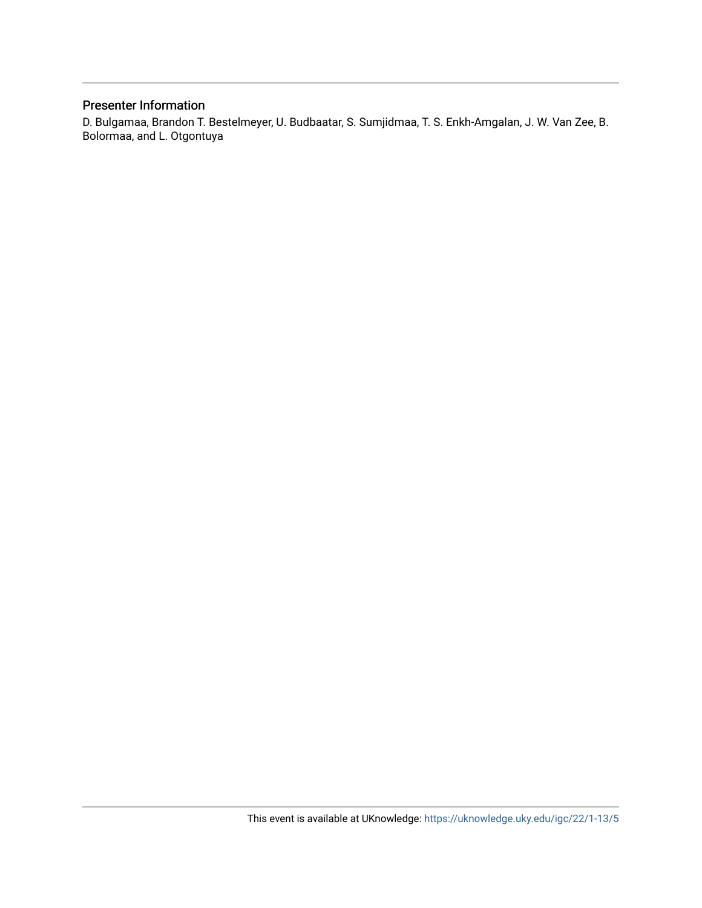# Presenter Information

D. Bulgamaa, Brandon T. Bestelmeyer, U. Budbaatar, S. Sumjidmaa, T. S. Enkh-Amgalan, J. W. Van Zee, B. Bolormaa, and L. Otgontuya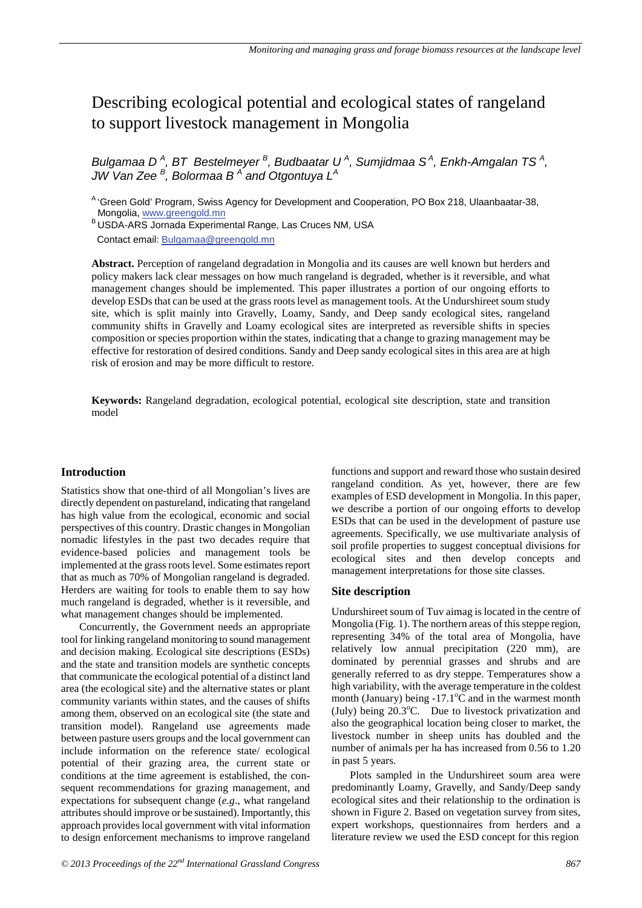# Describing ecological potential and ecological states of rangeland to support livestock management in Mongolia

Bulgamaa D<sup>A</sup>, BT Bestelmeyer<sup>B</sup>, Budbaatar U<sup>A</sup>, Sumjidmaa S<sup>A</sup>, Enkh-Amgalan TS<sup>A</sup>, *JW Van Zee <sup>B</sup> , Bolormaa B <sup>A</sup> and Otgontuya LA* 

<sup>A</sup> 'Green Gold' Program, Swiss Agency for Development and Cooperation, PO Box 218, Ulaanbaatar-38, Mongolia, www.greengold.mn

B USDA-ARS Jornada Experimental Range, Las Cruces NM, USA Contact email: Bulgamaa@greengold.mn

**Abstract.** Perception of rangeland degradation in Mongolia and its causes are well known but herders and policy makers lack clear messages on how much rangeland is degraded, whether is it reversible, and what management changes should be implemented. This paper illustrates a portion of our ongoing efforts to develop ESDs that can be used at the grass roots level as management tools. At the Undurshireet soum study site, which is split mainly into Gravelly, Loamy, Sandy, and Deep sandy ecological sites, rangeland community shifts in Gravelly and Loamy ecological sites are interpreted as reversible shifts in species composition or species proportion within the states, indicating that a change to grazing management may be effective for restoration of desired conditions. Sandy and Deep sandy ecological sites in this area are at high risk of erosion and may be more difficult to restore.

**Keywords:** Rangeland degradation, ecological potential, ecological site description, state and transition model

#### **Introduction**

Statistics show that one-third of all Mongolian's lives are directly dependent on pastureland, indicating that rangeland has high value from the ecological, economic and social perspectives of this country. Drastic changes in Mongolian nomadic lifestyles in the past two decades require that evidence-based policies and management tools be implemented at the grass roots level. Some estimates report that as much as 70% of Mongolian rangeland is degraded. Herders are waiting for tools to enable them to say how much rangeland is degraded, whether is it reversible, and what management changes should be implemented.

Concurrently, the Government needs an appropriate tool for linking rangeland monitoring to sound management and decision making. Ecological site descriptions (ESDs) and the state and transition models are synthetic concepts that communicate the ecological potential of a distinct land area (the ecological site) and the alternative states or plant community variants within states, and the causes of shifts among them, observed on an ecological site (the state and transition model). Rangeland use agreements made between pasture users groups and the local government can include information on the reference state/ ecological potential of their grazing area, the current state or conditions at the time agreement is established, the consequent recommendations for grazing management, and expectations for subsequent change (*e.g*., what rangeland attributes should improve or be sustained). Importantly, this approach provides local government with vital information to design enforcement mechanisms to improve rangeland functions and support and reward those who sustain desired rangeland condition. As yet, however, there are few examples of ESD development in Mongolia. In this paper, we describe a portion of our ongoing efforts to develop ESDs that can be used in the development of pasture use agreements. Specifically, we use multivariate analysis of soil profile properties to suggest conceptual divisions for ecological sites and then develop concepts and management interpretations for those site classes.

#### **Site description**

Undurshireet soum of Tuv aimag is located in the centre of Mongolia (Fig. 1). The northern areas of this steppe region, representing 34% of the total area of Mongolia, have relatively low annual precipitation (220 mm), are dominated by perennial grasses and shrubs and are generally referred to as dry steppe. Temperatures show a high variability, with the average temperature in the coldest month (January) being  $-17.1^{\circ}$ C and in the warmest month (July) being 20.3°C. Due to livestock privatization and also the geographical location being closer to market, the livestock number in sheep units has doubled and the number of animals per ha has increased from 0.56 to 1.20 in past 5 years.

Plots sampled in the Undurshireet soum area were predominantly Loamy, Gravelly, and Sandy/Deep sandy ecological sites and their relationship to the ordination is shown in Figure 2. Based on vegetation survey from sites, expert workshops, questionnaires from herders and a literature review we used the ESD concept for this region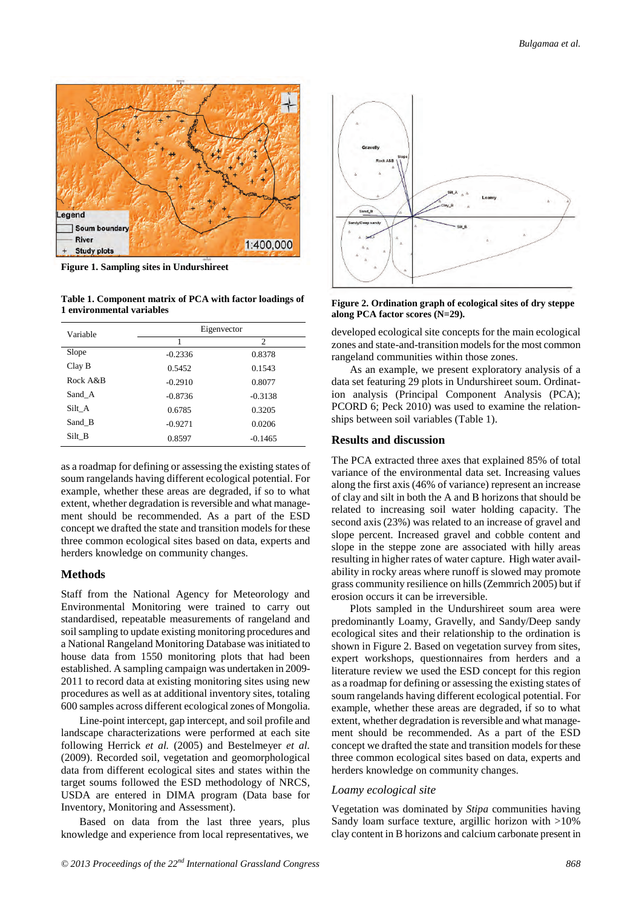

**Figure 1. Sampling sites in Undurshireet**

**Table 1. Component matrix of PCA with factor loadings of 1 environmental variables**

| Variable    | Eigenvector |           |
|-------------|-------------|-----------|
|             |             | 2         |
| Slope       | $-0.2336$   | 0.8378    |
| ClayB       | 0.5452      | 0.1543    |
| Rock $A\&B$ | $-0.2910$   | 0.8077    |
| Sand A      | $-0.8736$   | $-0.3138$ |
| Silt A      | 0.6785      | 0.3205    |
| Sand B      | $-0.9271$   | 0.0206    |
| Silt B      | 0.8597      | $-0.1465$ |

as a roadmap for defining or assessing the existing states of soum rangelands having different ecological potential. For example, whether these areas are degraded, if so to what extent, whether degradation is reversible and what management should be recommended. As a part of the ESD concept we drafted the state and transition models for these three common ecological sites based on data, experts and herders knowledge on community changes.

#### **Methods**

Staff from the National Agency for Meteorology and Environmental Monitoring were trained to carry out standardised, repeatable measurements of rangeland and soil sampling to update existing monitoring procedures and a National Rangeland Monitoring Database was initiated to house data from 1550 monitoring plots that had been established. A sampling campaign was undertaken in 2009- 2011 to record data at existing monitoring sites using new procedures as well as at additional inventory sites, totaling 600 samples across different ecological zones of Mongolia.

Line-point intercept, gap intercept, and soil profile and landscape characterizations were performed at each site following Herrick *et al.* (2005) and Bestelmeyer *et al.* (2009). Recorded soil, vegetation and geomorphological data from different ecological sites and states within the target soums followed the ESD methodology of NRCS, USDA are entered in DIMA program (Data base for Inventory, Monitoring and Assessment).

Based on data from the last three years, plus knowledge and experience from local representatives, we



**Figure 2. Ordination graph of ecological sites of dry steppe along PCA factor scores (N=29).** 

developed ecological site concepts for the main ecological zones and state-and-transition models for the most common rangeland communities within those zones.

As an example, we present exploratory analysis of a data set featuring 29 plots in Undurshireet soum. Ordination analysis (Principal Component Analysis (PCA); PCORD 6; Peck 2010) was used to examine the relationships between soil variables (Table 1).

#### **Results and discussion**

The PCA extracted three axes that explained 85% of total variance of the environmental data set. Increasing values along the first axis (46% of variance) represent an increase of clay and silt in both the A and B horizons that should be related to increasing soil water holding capacity. The second axis (23%) was related to an increase of gravel and slope percent. Increased gravel and cobble content and slope in the steppe zone are associated with hilly areas resulting in higher rates of water capture. High water availability in rocky areas where runoff is slowed may promote grass community resilience on hills (Zemmrich 2005) but if erosion occurs it can be irreversible.

Plots sampled in the Undurshireet soum area were predominantly Loamy, Gravelly, and Sandy/Deep sandy ecological sites and their relationship to the ordination is shown in Figure 2. Based on vegetation survey from sites, expert workshops, questionnaires from herders and a literature review we used the ESD concept for this region as a roadmap for defining or assessing the existing states of soum rangelands having different ecological potential. For example, whether these areas are degraded, if so to what extent, whether degradation is reversible and what management should be recommended. As a part of the ESD concept we drafted the state and transition models for these three common ecological sites based on data, experts and herders knowledge on community changes.

#### *Loamy ecological site*

Vegetation was dominated by *Stipa* communities having Sandy loam surface texture, argillic horizon with >10% clay content in B horizons and calcium carbonate present in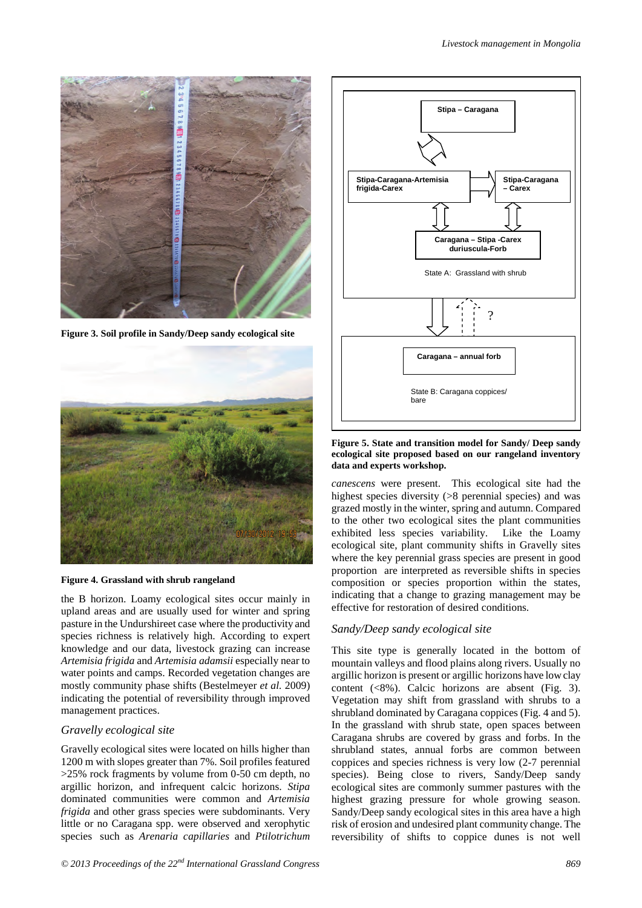

**Figure 3. Soil profile in Sandy/Deep sandy ecological site** 





the B horizon. Loamy ecological sites occur mainly in upland areas and are usually used for winter and spring pasture in the Undurshireet case where the productivity and species richness is relatively high. According to expert knowledge and our data, livestock grazing can increase *Artemisia frigida* and *Artemisia adamsii* especially near to water points and camps. Recorded vegetation changes are mostly community phase shifts (Bestelmeyer *et al.* 2009) indicating the potential of reversibility through improved management practices.

### *Gravelly ecological site*

Gravelly ecological sites were located on hills higher than 1200 m with slopes greater than 7%. Soil profiles featured  $>25\%$  rock fragments by volume from 0-50 cm depth, no argillic horizon, and infrequent calcic horizons. *Stipa* dominated communities were common and *Artemisia frigida* and other grass species were subdominants. Very little or no Caragana spp. were observed and xerophytic species such as *Arenaria capillaries* and *Ptilotrichum* 



**Figure 5. State and transition model for Sandy/ Deep sandy ecological site proposed based on our rangeland inventory data and experts workshop.** 

*canescens* were present. This ecological site had the highest species diversity ( $>8$  perennial species) and was grazed mostly in the winter, spring and autumn. Compared to the other two ecological sites the plant communities exhibited less species variability. Like the Loamy ecological site, plant community shifts in Gravelly sites where the key perennial grass species are present in good proportion are interpreted as reversible shifts in species composition or species proportion within the states, indicating that a change to grazing management may be effective for restoration of desired conditions.

## *Sandy/Deep sandy ecological site*

This site type is generally located in the bottom of mountain valleys and flood plains along rivers. Usually no argillic horizon is present or argillic horizons have low clay content (<8%). Calcic horizons are absent (Fig. 3). Vegetation may shift from grassland with shrubs to a shrubland dominated by Caragana coppices (Fig. 4 and 5). In the grassland with shrub state, open spaces between Caragana shrubs are covered by grass and forbs. In the shrubland states, annual forbs are common between coppices and species richness is very low (2-7 perennial species). Being close to rivers, Sandy/Deep sandy ecological sites are commonly summer pastures with the highest grazing pressure for whole growing season. Sandy/Deep sandy ecological sites in this area have a high risk of erosion and undesired plant community change. The reversibility of shifts to coppice dunes is not well